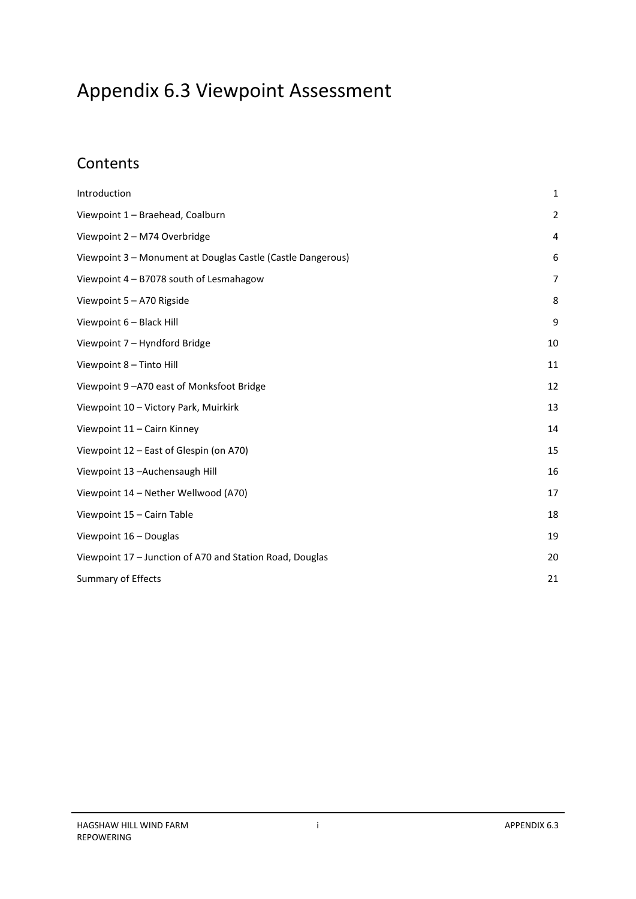# Appendix 6.3 Viewpoint Assessment

# **Contents**

| Introduction                                                | 1              |
|-------------------------------------------------------------|----------------|
| Viewpoint 1 - Braehead, Coalburn                            | $\overline{2}$ |
| Viewpoint 2 - M74 Overbridge                                | 4              |
| Viewpoint 3 - Monument at Douglas Castle (Castle Dangerous) | 6              |
| Viewpoint 4 - B7078 south of Lesmahagow                     | $\overline{7}$ |
| Viewpoint 5 - A70 Rigside                                   | 8              |
| Viewpoint 6 - Black Hill                                    | 9              |
| Viewpoint 7 - Hyndford Bridge                               | 10             |
| Viewpoint 8 - Tinto Hill                                    | 11             |
| Viewpoint 9-A70 east of Monksfoot Bridge                    | 12             |
| Viewpoint 10 - Victory Park, Muirkirk                       | 13             |
| Viewpoint 11 - Cairn Kinney                                 | 14             |
| Viewpoint 12 - East of Glespin (on A70)                     | 15             |
| Viewpoint 13-Auchensaugh Hill                               | 16             |
| Viewpoint 14 - Nether Wellwood (A70)                        | 17             |
| Viewpoint 15 - Cairn Table                                  | 18             |
| Viewpoint 16 - Douglas                                      | 19             |
| Viewpoint 17 - Junction of A70 and Station Road, Douglas    | 20             |
| Summary of Effects                                          | 21             |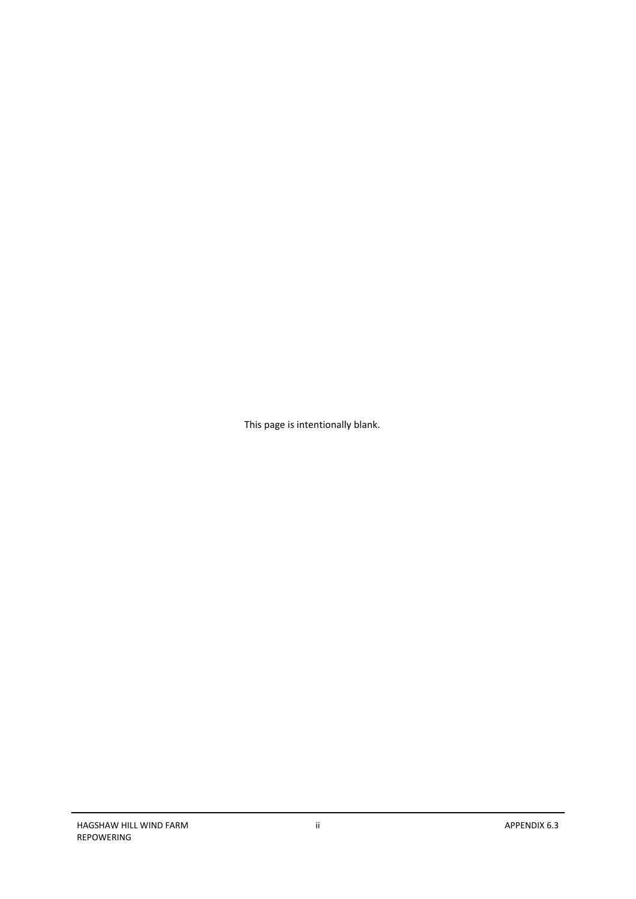This page is intentionally blank.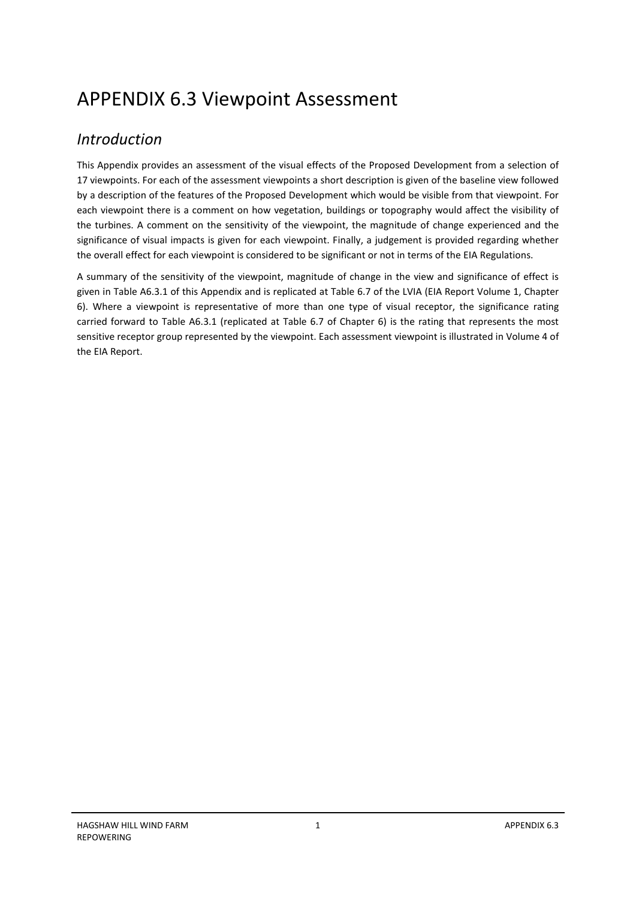# APPENDIX 6.3 Viewpoint Assessment

### <span id="page-2-0"></span>*Introduction*

This Appendix provides an assessment of the visual effects of the Proposed Development from a selection of 17 viewpoints. For each of the assessment viewpoints a short description is given of the baseline view followed by a description of the features of the Proposed Development which would be visible from that viewpoint. For each viewpoint there is a comment on how vegetation, buildings or topography would affect the visibility of the turbines. A comment on the sensitivity of the viewpoint, the magnitude of change experienced and the significance of visual impacts is given for each viewpoint. Finally, a judgement is provided regarding whether the overall effect for each viewpoint is considered to be significant or not in terms of the EIA Regulations.

A summary of the sensitivity of the viewpoint, magnitude of change in the view and significance of effect is given in Table A6.3.1 of this Appendix and is replicated at Table 6.7 of the LVIA (EIA Report Volume 1, Chapter 6). Where a viewpoint is representative of more than one type of visual receptor, the significance rating carried forward to Table A6.3.1 (replicated at Table 6.7 of Chapter 6) is the rating that represents the most sensitive receptor group represented by the viewpoint. Each assessment viewpoint is illustrated in Volume 4 of the EIA Report.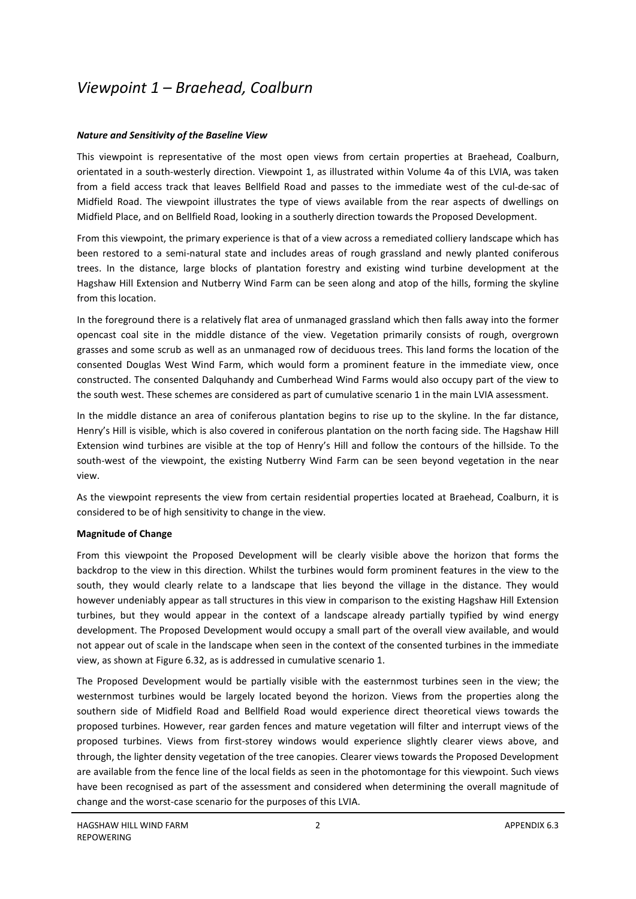### <span id="page-3-0"></span>*Viewpoint 1 – Braehead, Coalburn*

### *Nature and Sensitivity of the Baseline View*

This viewpoint is representative of the most open views from certain properties at Braehead, Coalburn, orientated in a south-westerly direction. Viewpoint 1, as illustrated within Volume 4a of this LVIA, was taken from a field access track that leaves Bellfield Road and passes to the immediate west of the cul-de-sac of Midfield Road. The viewpoint illustrates the type of views available from the rear aspects of dwellings on Midfield Place, and on Bellfield Road, looking in a southerly direction towards the Proposed Development.

From this viewpoint, the primary experience is that of a view across a remediated colliery landscape which has been restored to a semi-natural state and includes areas of rough grassland and newly planted coniferous trees. In the distance, large blocks of plantation forestry and existing wind turbine development at the Hagshaw Hill Extension and Nutberry Wind Farm can be seen along and atop of the hills, forming the skyline from this location.

In the foreground there is a relatively flat area of unmanaged grassland which then falls away into the former opencast coal site in the middle distance of the view. Vegetation primarily consists of rough, overgrown grasses and some scrub as well as an unmanaged row of deciduous trees. This land forms the location of the consented Douglas West Wind Farm, which would form a prominent feature in the immediate view, once constructed. The consented Dalquhandy and Cumberhead Wind Farms would also occupy part of the view to the south west. These schemes are considered as part of cumulative scenario 1 in the main LVIA assessment.

In the middle distance an area of coniferous plantation begins to rise up to the skyline. In the far distance, Henry's Hill is visible, which is also covered in coniferous plantation on the north facing side. The Hagshaw Hill Extension wind turbines are visible at the top of Henry's Hill and follow the contours of the hillside. To the south-west of the viewpoint, the existing Nutberry Wind Farm can be seen beyond vegetation in the near view.

As the viewpoint represents the view from certain residential properties located at Braehead, Coalburn, it is considered to be of high sensitivity to change in the view.

### **Magnitude of Change**

From this viewpoint the Proposed Development will be clearly visible above the horizon that forms the backdrop to the view in this direction. Whilst the turbines would form prominent features in the view to the south, they would clearly relate to a landscape that lies beyond the village in the distance. They would however undeniably appear as tall structures in this view in comparison to the existing Hagshaw Hill Extension turbines, but they would appear in the context of a landscape already partially typified by wind energy development. The Proposed Development would occupy a small part of the overall view available, and would not appear out of scale in the landscape when seen in the context of the consented turbines in the immediate view, as shown at Figure 6.32, as is addressed in cumulative scenario 1.

The Proposed Development would be partially visible with the easternmost turbines seen in the view; the westernmost turbines would be largely located beyond the horizon. Views from the properties along the southern side of Midfield Road and Bellfield Road would experience direct theoretical views towards the proposed turbines. However, rear garden fences and mature vegetation will filter and interrupt views of the proposed turbines. Views from first-storey windows would experience slightly clearer views above, and through, the lighter density vegetation of the tree canopies. Clearer views towards the Proposed Development are available from the fence line of the local fields as seen in the photomontage for this viewpoint. Such views have been recognised as part of the assessment and considered when determining the overall magnitude of change and the worst-case scenario for the purposes of this LVIA.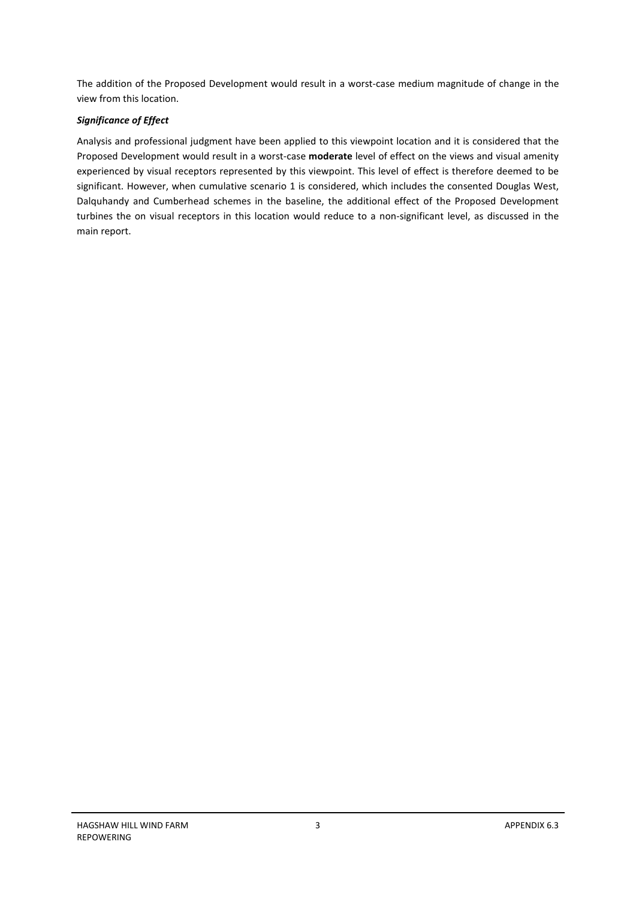The addition of the Proposed Development would result in a worst-case medium magnitude of change in the view from this location.

### *Significance of Effect*

Analysis and professional judgment have been applied to this viewpoint location and it is considered that the Proposed Development would result in a worst-case **moderate** level of effect on the views and visual amenity experienced by visual receptors represented by this viewpoint. This level of effect is therefore deemed to be significant. However, when cumulative scenario 1 is considered, which includes the consented Douglas West, Dalquhandy and Cumberhead schemes in the baseline, the additional effect of the Proposed Development turbines the on visual receptors in this location would reduce to a non-significant level, as discussed in the main report.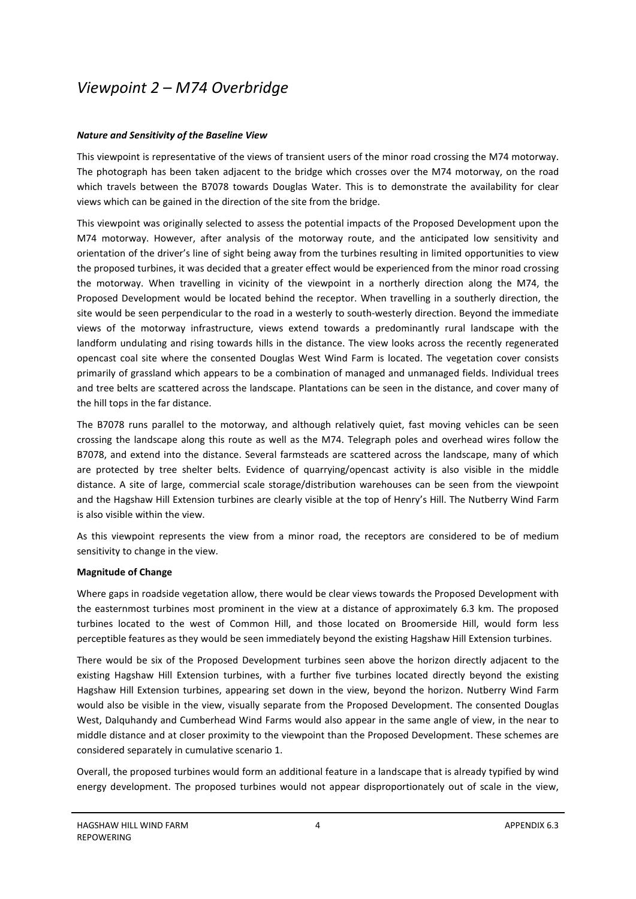### <span id="page-5-0"></span>*Viewpoint 2 – M74 Overbridge*

### *Nature and Sensitivity of the Baseline View*

This viewpoint is representative of the views of transient users of the minor road crossing the M74 motorway. The photograph has been taken adjacent to the bridge which crosses over the M74 motorway, on the road which travels between the B7078 towards Douglas Water. This is to demonstrate the availability for clear views which can be gained in the direction of the site from the bridge.

This viewpoint was originally selected to assess the potential impacts of the Proposed Development upon the M74 motorway. However, after analysis of the motorway route, and the anticipated low sensitivity and orientation of the driver's line of sight being away from the turbines resulting in limited opportunities to view the proposed turbines, it was decided that a greater effect would be experienced from the minor road crossing the motorway. When travelling in vicinity of the viewpoint in a northerly direction along the M74, the Proposed Development would be located behind the receptor. When travelling in a southerly direction, the site would be seen perpendicular to the road in a westerly to south-westerly direction. Beyond the immediate views of the motorway infrastructure, views extend towards a predominantly rural landscape with the landform undulating and rising towards hills in the distance. The view looks across the recently regenerated opencast coal site where the consented Douglas West Wind Farm is located. The vegetation cover consists primarily of grassland which appears to be a combination of managed and unmanaged fields. Individual trees and tree belts are scattered across the landscape. Plantations can be seen in the distance, and cover many of the hill tops in the far distance.

The B7078 runs parallel to the motorway, and although relatively quiet, fast moving vehicles can be seen crossing the landscape along this route as well as the M74. Telegraph poles and overhead wires follow the B7078, and extend into the distance. Several farmsteads are scattered across the landscape, many of which are protected by tree shelter belts. Evidence of quarrying/opencast activity is also visible in the middle distance. A site of large, commercial scale storage/distribution warehouses can be seen from the viewpoint and the Hagshaw Hill Extension turbines are clearly visible at the top of Henry's Hill. The Nutberry Wind Farm is also visible within the view.

As this viewpoint represents the view from a minor road, the receptors are considered to be of medium sensitivity to change in the view.

#### **Magnitude of Change**

Where gaps in roadside vegetation allow, there would be clear views towards the Proposed Development with the easternmost turbines most prominent in the view at a distance of approximately 6.3 km. The proposed turbines located to the west of Common Hill, and those located on Broomerside Hill, would form less perceptible features as they would be seen immediately beyond the existing Hagshaw Hill Extension turbines.

There would be six of the Proposed Development turbines seen above the horizon directly adjacent to the existing Hagshaw Hill Extension turbines, with a further five turbines located directly beyond the existing Hagshaw Hill Extension turbines, appearing set down in the view, beyond the horizon. Nutberry Wind Farm would also be visible in the view, visually separate from the Proposed Development. The consented Douglas West, Dalquhandy and Cumberhead Wind Farms would also appear in the same angle of view, in the near to middle distance and at closer proximity to the viewpoint than the Proposed Development. These schemes are considered separately in cumulative scenario 1.

Overall, the proposed turbines would form an additional feature in a landscape that is already typified by wind energy development. The proposed turbines would not appear disproportionately out of scale in the view,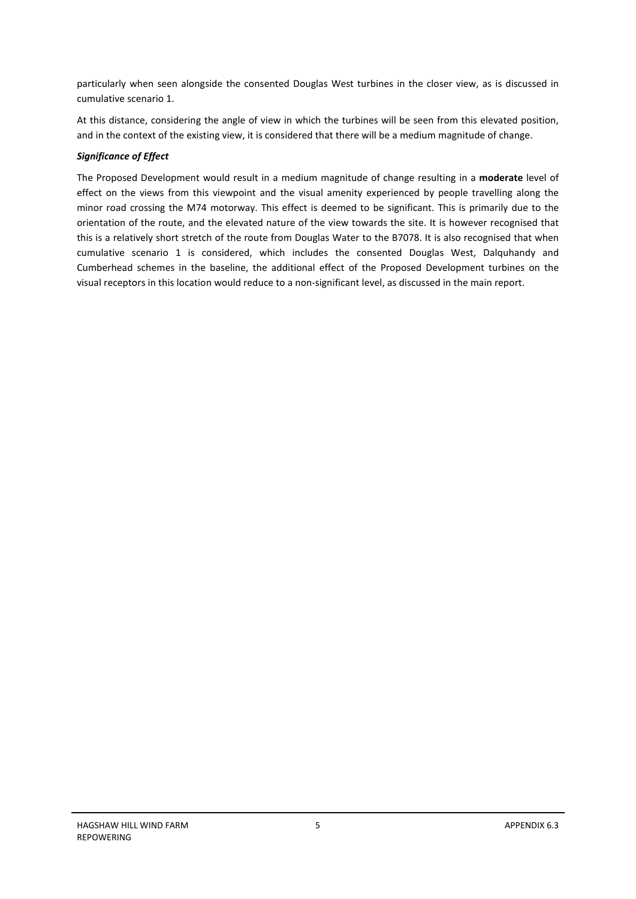particularly when seen alongside the consented Douglas West turbines in the closer view, as is discussed in cumulative scenario 1.

At this distance, considering the angle of view in which the turbines will be seen from this elevated position, and in the context of the existing view, it is considered that there will be a medium magnitude of change.

### *Significance of Effect*

The Proposed Development would result in a medium magnitude of change resulting in a **moderate** level of effect on the views from this viewpoint and the visual amenity experienced by people travelling along the minor road crossing the M74 motorway. This effect is deemed to be significant. This is primarily due to the orientation of the route, and the elevated nature of the view towards the site. It is however recognised that this is a relatively short stretch of the route from Douglas Water to the B7078. It is also recognised that when cumulative scenario 1 is considered, which includes the consented Douglas West, Dalquhandy and Cumberhead schemes in the baseline, the additional effect of the Proposed Development turbines on the visual receptors in this location would reduce to a non-significant level, as discussed in the main report.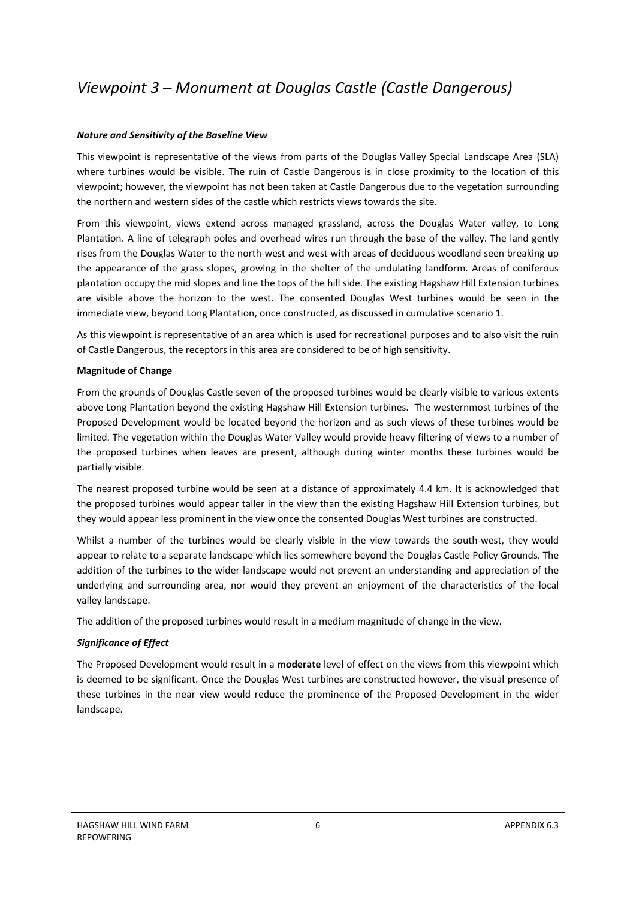# <span id="page-7-0"></span>*Viewpoint 3 – Monument at Douglas Castle (Castle Dangerous)*

### *Nature and Sensitivity of the Baseline View*

This viewpoint is representative of the views from parts of the Douglas Valley Special Landscape Area (SLA) where turbines would be visible. The ruin of Castle Dangerous is in close proximity to the location of this viewpoint; however, the viewpoint has not been taken at Castle Dangerous due to the vegetation surrounding the northern and western sides of the castle which restricts views towards the site.

From this viewpoint, views extend across managed grassland, across the Douglas Water valley, to Long Plantation. A line of telegraph poles and overhead wires run through the base of the valley. The land gently rises from the Douglas Water to the north-west and west with areas of deciduous woodland seen breaking up the appearance of the grass slopes, growing in the shelter of the undulating landform. Areas of coniferous plantation occupy the mid slopes and line the tops of the hill side. The existing Hagshaw Hill Extension turbines are visible above the horizon to the west. The consented Douglas West turbines would be seen in the immediate view, beyond Long Plantation, once constructed, as discussed in cumulative scenario 1.

As this viewpoint is representative of an area which is used for recreational purposes and to also visit the ruin of Castle Dangerous, the receptors in this area are considered to be of high sensitivity.

### **Magnitude of Change**

From the grounds of Douglas Castle seven of the proposed turbines would be clearly visible to various extents above Long Plantation beyond the existing Hagshaw Hill Extension turbines. The westernmost turbines of the Proposed Development would be located beyond the horizon and as such views of these turbines would be limited. The vegetation within the Douglas Water Valley would provide heavy filtering of views to a number of the proposed turbines when leaves are present, although during winter months these turbines would be partially visible.

The nearest proposed turbine would be seen at a distance of approximately 4.4 km. It is acknowledged that the proposed turbines would appear taller in the view than the existing Hagshaw Hill Extension turbines, but they would appear less prominent in the view once the consented Douglas West turbines are constructed.

Whilst a number of the turbines would be clearly visible in the view towards the south-west, they would appear to relate to a separate landscape which lies somewhere beyond the Douglas Castle Policy Grounds. The addition of the turbines to the wider landscape would not prevent an understanding and appreciation of the underlying and surrounding area, nor would they prevent an enjoyment of the characteristics of the local valley landscape.

The addition of the proposed turbines would result in a medium magnitude of change in the view.

### *Significance of Effect*

The Proposed Development would result in a **moderate** level of effect on the views from this viewpoint which is deemed to be significant. Once the Douglas West turbines are constructed however, the visual presence of these turbines in the near view would reduce the prominence of the Proposed Development in the wider landscape.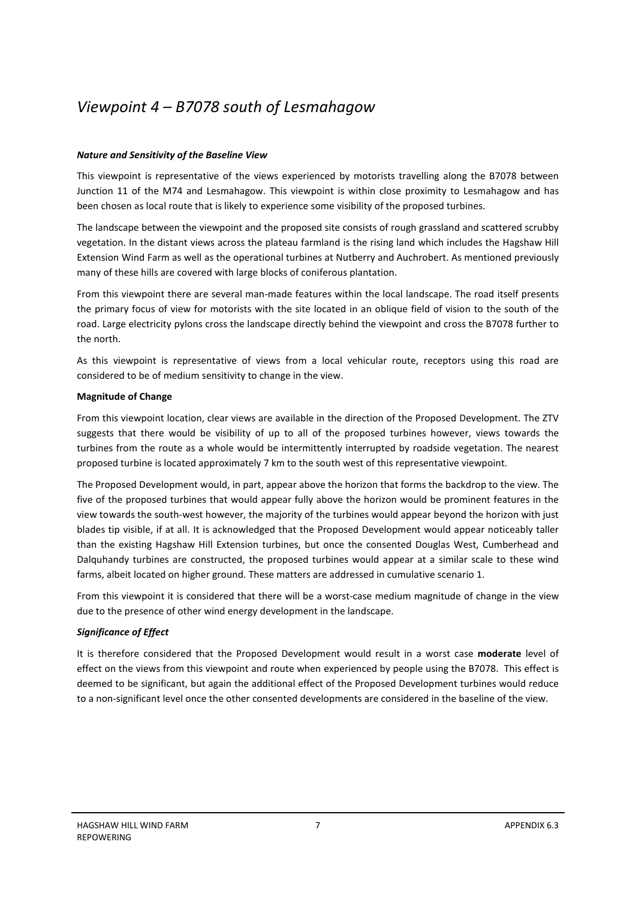# <span id="page-8-0"></span>*Viewpoint 4 – B7078 south of Lesmahagow*

### *Nature and Sensitivity of the Baseline View*

This viewpoint is representative of the views experienced by motorists travelling along the B7078 between Junction 11 of the M74 and Lesmahagow. This viewpoint is within close proximity to Lesmahagow and has been chosen as local route that is likely to experience some visibility of the proposed turbines.

The landscape between the viewpoint and the proposed site consists of rough grassland and scattered scrubby vegetation. In the distant views across the plateau farmland is the rising land which includes the Hagshaw Hill Extension Wind Farm as well as the operational turbines at Nutberry and Auchrobert. As mentioned previously many of these hills are covered with large blocks of coniferous plantation.

From this viewpoint there are several man-made features within the local landscape. The road itself presents the primary focus of view for motorists with the site located in an oblique field of vision to the south of the road. Large electricity pylons cross the landscape directly behind the viewpoint and cross the B7078 further to the north.

As this viewpoint is representative of views from a local vehicular route, receptors using this road are considered to be of medium sensitivity to change in the view.

### **Magnitude of Change**

From this viewpoint location, clear views are available in the direction of the Proposed Development. The ZTV suggests that there would be visibility of up to all of the proposed turbines however, views towards the turbines from the route as a whole would be intermittently interrupted by roadside vegetation. The nearest proposed turbine is located approximately 7 km to the south west of this representative viewpoint.

The Proposed Development would, in part, appear above the horizon that forms the backdrop to the view. The five of the proposed turbines that would appear fully above the horizon would be prominent features in the view towards the south-west however, the majority of the turbines would appear beyond the horizon with just blades tip visible, if at all. It is acknowledged that the Proposed Development would appear noticeably taller than the existing Hagshaw Hill Extension turbines, but once the consented Douglas West, Cumberhead and Dalquhandy turbines are constructed, the proposed turbines would appear at a similar scale to these wind farms, albeit located on higher ground. These matters are addressed in cumulative scenario 1.

From this viewpoint it is considered that there will be a worst-case medium magnitude of change in the view due to the presence of other wind energy development in the landscape.

### *Significance of Effect*

It is therefore considered that the Proposed Development would result in a worst case **moderate** level of effect on the views from this viewpoint and route when experienced by people using the B7078. This effect is deemed to be significant, but again the additional effect of the Proposed Development turbines would reduce to a non-significant level once the other consented developments are considered in the baseline of the view.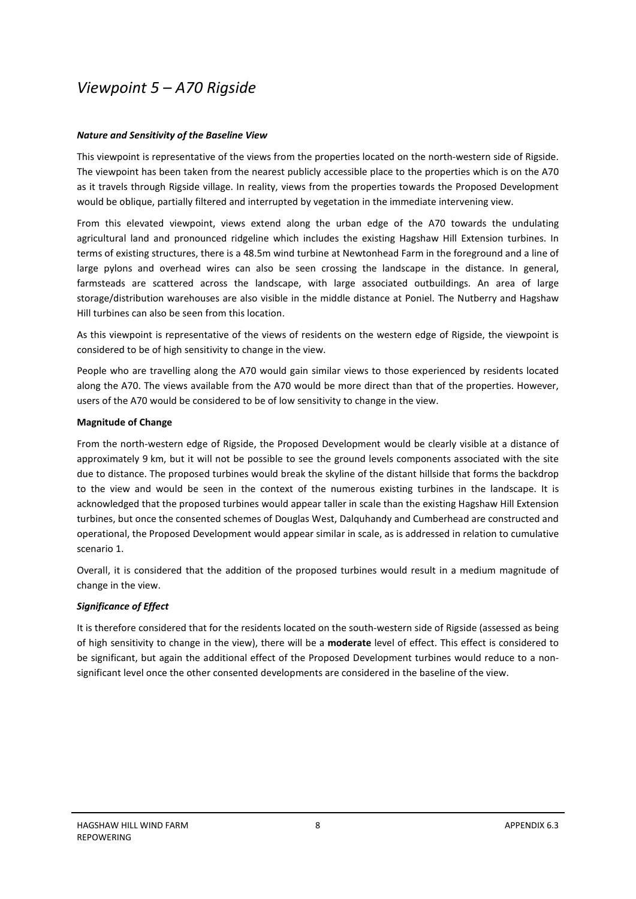### <span id="page-9-0"></span>*Viewpoint 5 – A70 Rigside*

### *Nature and Sensitivity of the Baseline View*

This viewpoint is representative of the views from the properties located on the north-western side of Rigside. The viewpoint has been taken from the nearest publicly accessible place to the properties which is on the A70 as it travels through Rigside village. In reality, views from the properties towards the Proposed Development would be oblique, partially filtered and interrupted by vegetation in the immediate intervening view.

From this elevated viewpoint, views extend along the urban edge of the A70 towards the undulating agricultural land and pronounced ridgeline which includes the existing Hagshaw Hill Extension turbines. In terms of existing structures, there is a 48.5m wind turbine at Newtonhead Farm in the foreground and a line of large pylons and overhead wires can also be seen crossing the landscape in the distance. In general, farmsteads are scattered across the landscape, with large associated outbuildings. An area of large storage/distribution warehouses are also visible in the middle distance at Poniel. The Nutberry and Hagshaw Hill turbines can also be seen from this location.

As this viewpoint is representative of the views of residents on the western edge of Rigside, the viewpoint is considered to be of high sensitivity to change in the view.

People who are travelling along the A70 would gain similar views to those experienced by residents located along the A70. The views available from the A70 would be more direct than that of the properties. However, users of the A70 would be considered to be of low sensitivity to change in the view.

### **Magnitude of Change**

From the north-western edge of Rigside, the Proposed Development would be clearly visible at a distance of approximately 9 km, but it will not be possible to see the ground levels components associated with the site due to distance. The proposed turbines would break the skyline of the distant hillside that forms the backdrop to the view and would be seen in the context of the numerous existing turbines in the landscape. It is acknowledged that the proposed turbines would appear taller in scale than the existing Hagshaw Hill Extension turbines, but once the consented schemes of Douglas West, Dalquhandy and Cumberhead are constructed and operational, the Proposed Development would appear similar in scale, as is addressed in relation to cumulative scenario 1.

Overall, it is considered that the addition of the proposed turbines would result in a medium magnitude of change in the view.

### *Significance of Effect*

It is therefore considered that for the residents located on the south-western side of Rigside (assessed as being of high sensitivity to change in the view), there will be a **moderate** level of effect. This effect is considered to be significant, but again the additional effect of the Proposed Development turbines would reduce to a nonsignificant level once the other consented developments are considered in the baseline of the view.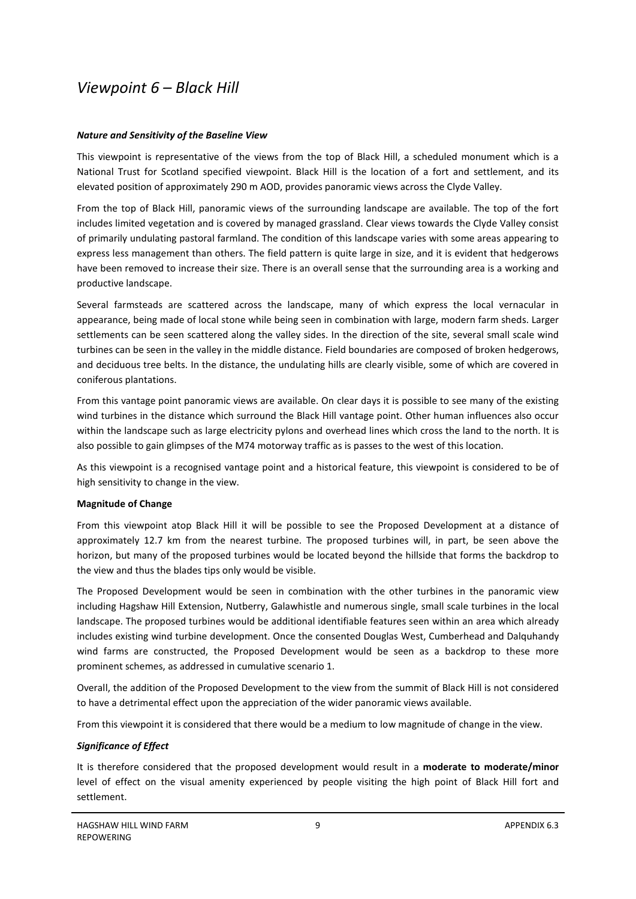### <span id="page-10-0"></span>*Viewpoint 6 – Black Hill*

### *Nature and Sensitivity of the Baseline View*

This viewpoint is representative of the views from the top of Black Hill, a scheduled monument which is a National Trust for Scotland specified viewpoint. Black Hill is the location of a fort and settlement, and its elevated position of approximately 290 m AOD, provides panoramic views across the Clyde Valley.

From the top of Black Hill, panoramic views of the surrounding landscape are available. The top of the fort includes limited vegetation and is covered by managed grassland. Clear views towards the Clyde Valley consist of primarily undulating pastoral farmland. The condition of this landscape varies with some areas appearing to express less management than others. The field pattern is quite large in size, and it is evident that hedgerows have been removed to increase their size. There is an overall sense that the surrounding area is a working and productive landscape.

Several farmsteads are scattered across the landscape, many of which express the local vernacular in appearance, being made of local stone while being seen in combination with large, modern farm sheds. Larger settlements can be seen scattered along the valley sides. In the direction of the site, several small scale wind turbines can be seen in the valley in the middle distance. Field boundaries are composed of broken hedgerows, and deciduous tree belts. In the distance, the undulating hills are clearly visible, some of which are covered in coniferous plantations.

From this vantage point panoramic views are available. On clear days it is possible to see many of the existing wind turbines in the distance which surround the Black Hill vantage point. Other human influences also occur within the landscape such as large electricity pylons and overhead lines which cross the land to the north. It is also possible to gain glimpses of the M74 motorway traffic as is passes to the west of this location.

As this viewpoint is a recognised vantage point and a historical feature, this viewpoint is considered to be of high sensitivity to change in the view.

### **Magnitude of Change**

From this viewpoint atop Black Hill it will be possible to see the Proposed Development at a distance of approximately 12.7 km from the nearest turbine. The proposed turbines will, in part, be seen above the horizon, but many of the proposed turbines would be located beyond the hillside that forms the backdrop to the view and thus the blades tips only would be visible.

The Proposed Development would be seen in combination with the other turbines in the panoramic view including Hagshaw Hill Extension, Nutberry, Galawhistle and numerous single, small scale turbines in the local landscape. The proposed turbines would be additional identifiable features seen within an area which already includes existing wind turbine development. Once the consented Douglas West, Cumberhead and Dalquhandy wind farms are constructed, the Proposed Development would be seen as a backdrop to these more prominent schemes, as addressed in cumulative scenario 1.

Overall, the addition of the Proposed Development to the view from the summit of Black Hill is not considered to have a detrimental effect upon the appreciation of the wider panoramic views available.

From this viewpoint it is considered that there would be a medium to low magnitude of change in the view.

### *Significance of Effect*

It is therefore considered that the proposed development would result in a **moderate to moderate/minor** level of effect on the visual amenity experienced by people visiting the high point of Black Hill fort and settlement.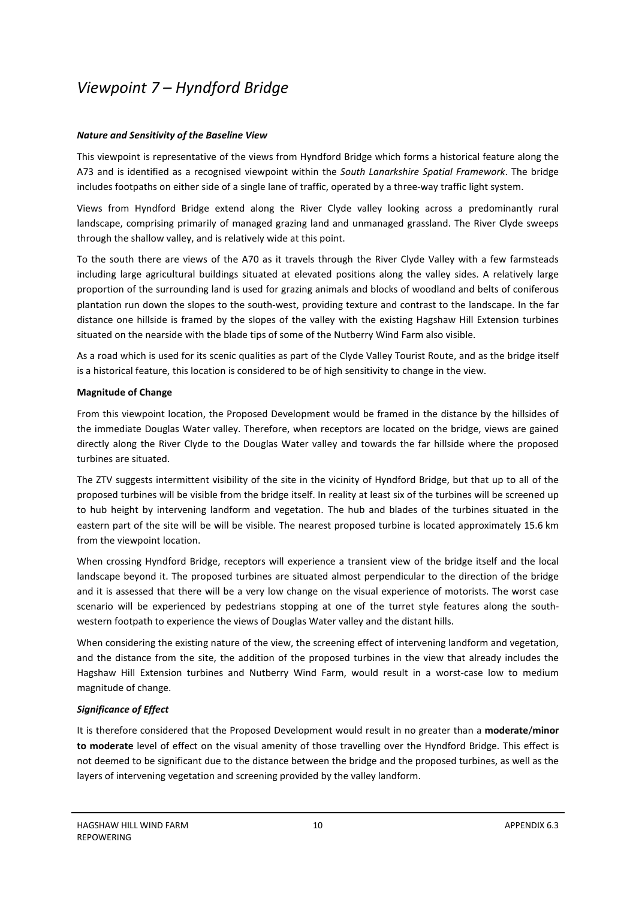## <span id="page-11-0"></span>*Viewpoint 7 – Hyndford Bridge*

### *Nature and Sensitivity of the Baseline View*

This viewpoint is representative of the views from Hyndford Bridge which forms a historical feature along the A73 and is identified as a recognised viewpoint within the *South Lanarkshire Spatial Framework*. The bridge includes footpaths on either side of a single lane of traffic, operated by a three-way traffic light system.

Views from Hyndford Bridge extend along the River Clyde valley looking across a predominantly rural landscape, comprising primarily of managed grazing land and unmanaged grassland. The River Clyde sweeps through the shallow valley, and is relatively wide at this point.

To the south there are views of the A70 as it travels through the River Clyde Valley with a few farmsteads including large agricultural buildings situated at elevated positions along the valley sides. A relatively large proportion of the surrounding land is used for grazing animals and blocks of woodland and belts of coniferous plantation run down the slopes to the south-west, providing texture and contrast to the landscape. In the far distance one hillside is framed by the slopes of the valley with the existing Hagshaw Hill Extension turbines situated on the nearside with the blade tips of some of the Nutberry Wind Farm also visible.

As a road which is used for its scenic qualities as part of the Clyde Valley Tourist Route, and as the bridge itself is a historical feature, this location is considered to be of high sensitivity to change in the view.

#### **Magnitude of Change**

From this viewpoint location, the Proposed Development would be framed in the distance by the hillsides of the immediate Douglas Water valley. Therefore, when receptors are located on the bridge, views are gained directly along the River Clyde to the Douglas Water valley and towards the far hillside where the proposed turbines are situated.

The ZTV suggests intermittent visibility of the site in the vicinity of Hyndford Bridge, but that up to all of the proposed turbines will be visible from the bridge itself. In reality at least six of the turbines will be screened up to hub height by intervening landform and vegetation. The hub and blades of the turbines situated in the eastern part of the site will be will be visible. The nearest proposed turbine is located approximately 15.6 km from the viewpoint location.

When crossing Hyndford Bridge, receptors will experience a transient view of the bridge itself and the local landscape beyond it. The proposed turbines are situated almost perpendicular to the direction of the bridge and it is assessed that there will be a very low change on the visual experience of motorists. The worst case scenario will be experienced by pedestrians stopping at one of the turret style features along the southwestern footpath to experience the views of Douglas Water valley and the distant hills.

When considering the existing nature of the view, the screening effect of intervening landform and vegetation, and the distance from the site, the addition of the proposed turbines in the view that already includes the Hagshaw Hill Extension turbines and Nutberry Wind Farm, would result in a worst-case low to medium magnitude of change.

### *Significance of Effect*

It is therefore considered that the Proposed Development would result in no greater than a **moderate**/**minor to moderate** level of effect on the visual amenity of those travelling over the Hyndford Bridge. This effect is not deemed to be significant due to the distance between the bridge and the proposed turbines, as well as the layers of intervening vegetation and screening provided by the valley landform.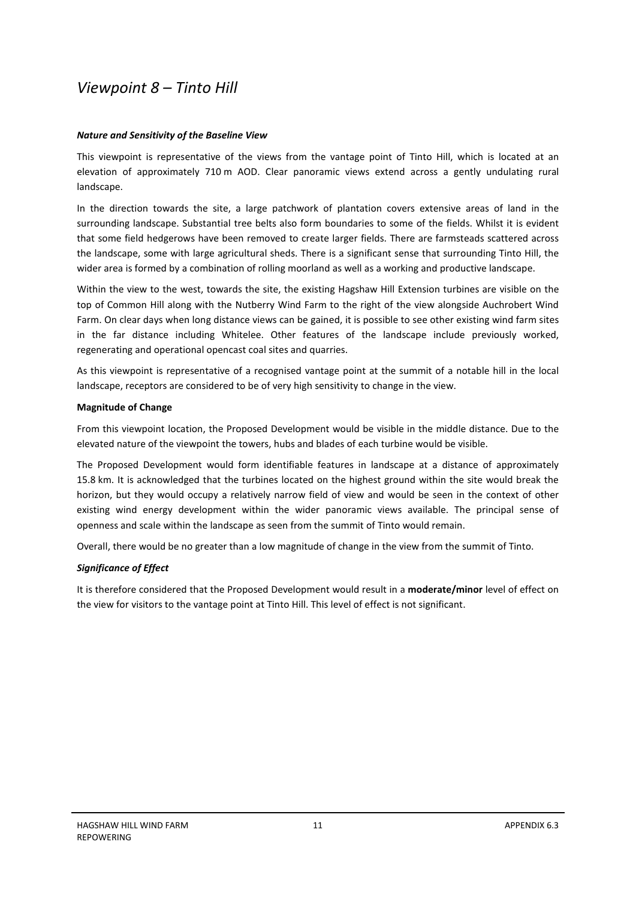### <span id="page-12-0"></span>*Viewpoint 8 – Tinto Hill*

### *Nature and Sensitivity of the Baseline View*

This viewpoint is representative of the views from the vantage point of Tinto Hill, which is located at an elevation of approximately 710 m AOD. Clear panoramic views extend across a gently undulating rural landscape.

In the direction towards the site, a large patchwork of plantation covers extensive areas of land in the surrounding landscape. Substantial tree belts also form boundaries to some of the fields. Whilst it is evident that some field hedgerows have been removed to create larger fields. There are farmsteads scattered across the landscape, some with large agricultural sheds. There is a significant sense that surrounding Tinto Hill, the wider area is formed by a combination of rolling moorland as well as a working and productive landscape.

Within the view to the west, towards the site, the existing Hagshaw Hill Extension turbines are visible on the top of Common Hill along with the Nutberry Wind Farm to the right of the view alongside Auchrobert Wind Farm. On clear days when long distance views can be gained, it is possible to see other existing wind farm sites in the far distance including Whitelee. Other features of the landscape include previously worked, regenerating and operational opencast coal sites and quarries.

As this viewpoint is representative of a recognised vantage point at the summit of a notable hill in the local landscape, receptors are considered to be of very high sensitivity to change in the view.

### **Magnitude of Change**

From this viewpoint location, the Proposed Development would be visible in the middle distance. Due to the elevated nature of the viewpoint the towers, hubs and blades of each turbine would be visible.

The Proposed Development would form identifiable features in landscape at a distance of approximately 15.8 km. It is acknowledged that the turbines located on the highest ground within the site would break the horizon, but they would occupy a relatively narrow field of view and would be seen in the context of other existing wind energy development within the wider panoramic views available. The principal sense of openness and scale within the landscape as seen from the summit of Tinto would remain.

Overall, there would be no greater than a low magnitude of change in the view from the summit of Tinto.

### *Significance of Effect*

It is therefore considered that the Proposed Development would result in a **moderate/minor** level of effect on the view for visitors to the vantage point at Tinto Hill. This level of effect is not significant.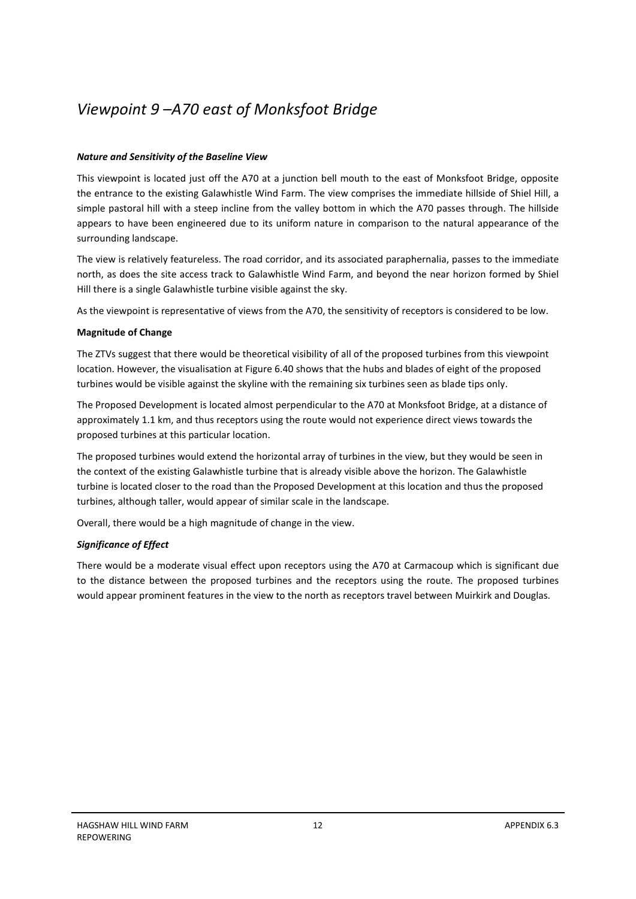# <span id="page-13-0"></span>*Viewpoint 9 –A70 east of Monksfoot Bridge*

### *Nature and Sensitivity of the Baseline View*

This viewpoint is located just off the A70 at a junction bell mouth to the east of Monksfoot Bridge, opposite the entrance to the existing Galawhistle Wind Farm. The view comprises the immediate hillside of Shiel Hill, a simple pastoral hill with a steep incline from the valley bottom in which the A70 passes through. The hillside appears to have been engineered due to its uniform nature in comparison to the natural appearance of the surrounding landscape.

The view is relatively featureless. The road corridor, and its associated paraphernalia, passes to the immediate north, as does the site access track to Galawhistle Wind Farm, and beyond the near horizon formed by Shiel Hill there is a single Galawhistle turbine visible against the sky.

As the viewpoint is representative of views from the A70, the sensitivity of receptors is considered to be low.

### **Magnitude of Change**

The ZTVs suggest that there would be theoretical visibility of all of the proposed turbines from this viewpoint location. However, the visualisation at Figure 6.40 shows that the hubs and blades of eight of the proposed turbines would be visible against the skyline with the remaining six turbines seen as blade tips only.

The Proposed Development is located almost perpendicular to the A70 at Monksfoot Bridge, at a distance of approximately 1.1 km, and thus receptors using the route would not experience direct views towards the proposed turbines at this particular location.

The proposed turbines would extend the horizontal array of turbines in the view, but they would be seen in the context of the existing Galawhistle turbine that is already visible above the horizon. The Galawhistle turbine is located closer to the road than the Proposed Development at this location and thus the proposed turbines, although taller, would appear of similar scale in the landscape.

Overall, there would be a high magnitude of change in the view.

### *Significance of Effect*

There would be a moderate visual effect upon receptors using the A70 at Carmacoup which is significant due to the distance between the proposed turbines and the receptors using the route. The proposed turbines would appear prominent features in the view to the north as receptors travel between Muirkirk and Douglas.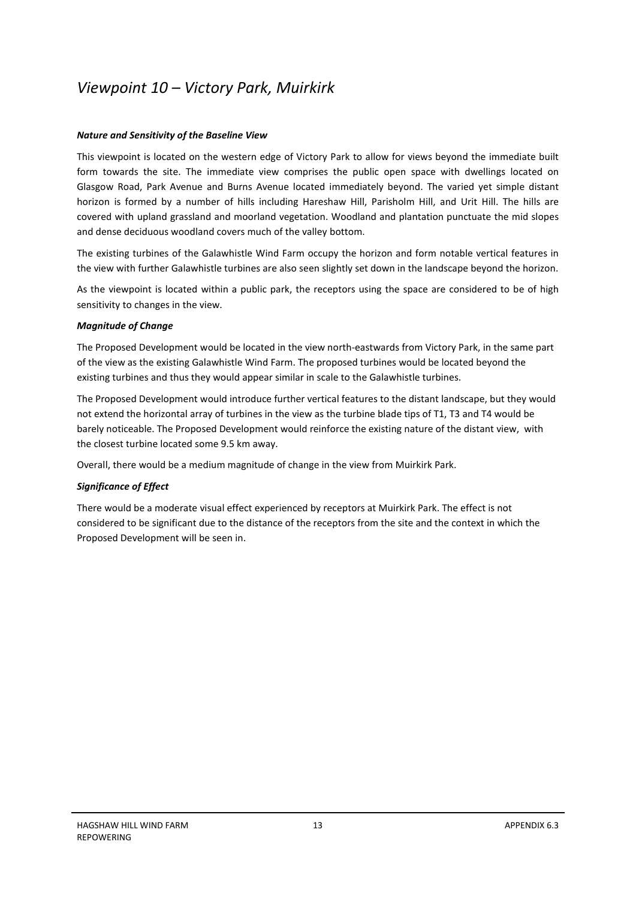## <span id="page-14-0"></span>*Viewpoint 10 – Victory Park, Muirkirk*

### *Nature and Sensitivity of the Baseline View*

This viewpoint is located on the western edge of Victory Park to allow for views beyond the immediate built form towards the site. The immediate view comprises the public open space with dwellings located on Glasgow Road, Park Avenue and Burns Avenue located immediately beyond. The varied yet simple distant horizon is formed by a number of hills including Hareshaw Hill, Parisholm Hill, and Urit Hill. The hills are covered with upland grassland and moorland vegetation. Woodland and plantation punctuate the mid slopes and dense deciduous woodland covers much of the valley bottom.

The existing turbines of the Galawhistle Wind Farm occupy the horizon and form notable vertical features in the view with further Galawhistle turbines are also seen slightly set down in the landscape beyond the horizon.

As the viewpoint is located within a public park, the receptors using the space are considered to be of high sensitivity to changes in the view.

### *Magnitude of Change*

The Proposed Development would be located in the view north-eastwards from Victory Park, in the same part of the view as the existing Galawhistle Wind Farm. The proposed turbines would be located beyond the existing turbines and thus they would appear similar in scale to the Galawhistle turbines.

The Proposed Development would introduce further vertical features to the distant landscape, but they would not extend the horizontal array of turbines in the view as the turbine blade tips of T1, T3 and T4 would be barely noticeable. The Proposed Development would reinforce the existing nature of the distant view, with the closest turbine located some 9.5 km away.

Overall, there would be a medium magnitude of change in the view from Muirkirk Park.

### *Significance of Effect*

There would be a moderate visual effect experienced by receptors at Muirkirk Park. The effect is not considered to be significant due to the distance of the receptors from the site and the context in which the Proposed Development will be seen in.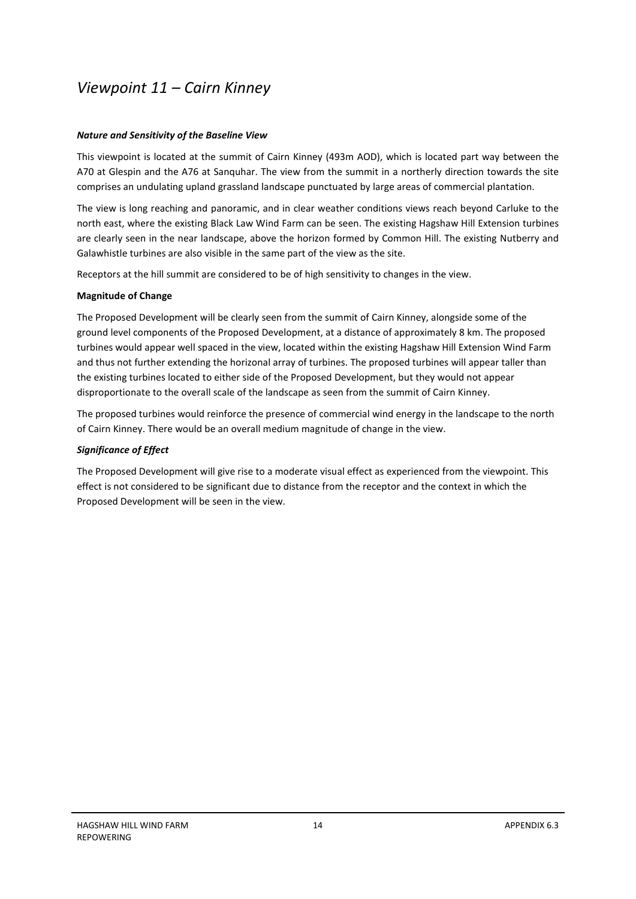### <span id="page-15-0"></span>*Viewpoint 11 – Cairn Kinney*

### *Nature and Sensitivity of the Baseline View*

This viewpoint is located at the summit of Cairn Kinney (493m AOD), which is located part way between the A70 at Glespin and the A76 at Sanquhar. The view from the summit in a northerly direction towards the site comprises an undulating upland grassland landscape punctuated by large areas of commercial plantation.

The view is long reaching and panoramic, and in clear weather conditions views reach beyond Carluke to the north east, where the existing Black Law Wind Farm can be seen. The existing Hagshaw Hill Extension turbines are clearly seen in the near landscape, above the horizon formed by Common Hill. The existing Nutberry and Galawhistle turbines are also visible in the same part of the view as the site.

Receptors at the hill summit are considered to be of high sensitivity to changes in the view.

### **Magnitude of Change**

The Proposed Development will be clearly seen from the summit of Cairn Kinney, alongside some of the ground level components of the Proposed Development, at a distance of approximately 8 km. The proposed turbines would appear well spaced in the view, located within the existing Hagshaw Hill Extension Wind Farm and thus not further extending the horizonal array of turbines. The proposed turbines will appear taller than the existing turbines located to either side of the Proposed Development, but they would not appear disproportionate to the overall scale of the landscape as seen from the summit of Cairn Kinney.

The proposed turbines would reinforce the presence of commercial wind energy in the landscape to the north of Cairn Kinney. There would be an overall medium magnitude of change in the view.

### *Significance of Effect*

The Proposed Development will give rise to a moderate visual effect as experienced from the viewpoint. This effect is not considered to be significant due to distance from the receptor and the context in which the Proposed Development will be seen in the view.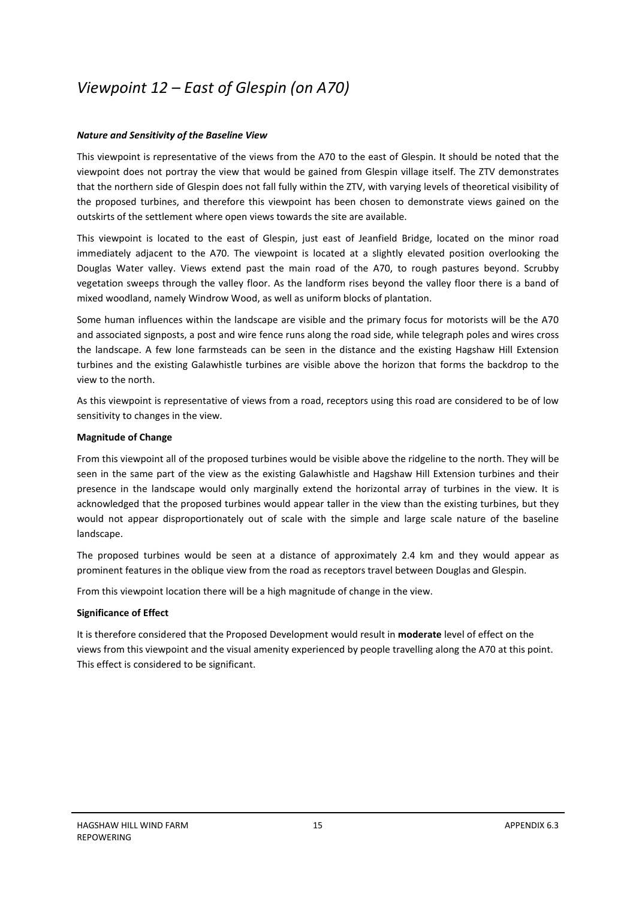# <span id="page-16-0"></span>*Viewpoint 12 – East of Glespin (on A70)*

### *Nature and Sensitivity of the Baseline View*

This viewpoint is representative of the views from the A70 to the east of Glespin. It should be noted that the viewpoint does not portray the view that would be gained from Glespin village itself. The ZTV demonstrates that the northern side of Glespin does not fall fully within the ZTV, with varying levels of theoretical visibility of the proposed turbines, and therefore this viewpoint has been chosen to demonstrate views gained on the outskirts of the settlement where open views towards the site are available.

This viewpoint is located to the east of Glespin, just east of Jeanfield Bridge, located on the minor road immediately adjacent to the A70. The viewpoint is located at a slightly elevated position overlooking the Douglas Water valley. Views extend past the main road of the A70, to rough pastures beyond. Scrubby vegetation sweeps through the valley floor. As the landform rises beyond the valley floor there is a band of mixed woodland, namely Windrow Wood, as well as uniform blocks of plantation.

Some human influences within the landscape are visible and the primary focus for motorists will be the A70 and associated signposts, a post and wire fence runs along the road side, while telegraph poles and wires cross the landscape. A few lone farmsteads can be seen in the distance and the existing Hagshaw Hill Extension turbines and the existing Galawhistle turbines are visible above the horizon that forms the backdrop to the view to the north.

As this viewpoint is representative of views from a road, receptors using this road are considered to be of low sensitivity to changes in the view.

### **Magnitude of Change**

From this viewpoint all of the proposed turbines would be visible above the ridgeline to the north. They will be seen in the same part of the view as the existing Galawhistle and Hagshaw Hill Extension turbines and their presence in the landscape would only marginally extend the horizontal array of turbines in the view. It is acknowledged that the proposed turbines would appear taller in the view than the existing turbines, but they would not appear disproportionately out of scale with the simple and large scale nature of the baseline landscape.

The proposed turbines would be seen at a distance of approximately 2.4 km and they would appear as prominent features in the oblique view from the road as receptors travel between Douglas and Glespin.

From this viewpoint location there will be a high magnitude of change in the view.

### **Significance of Effect**

It is therefore considered that the Proposed Development would result in **moderate** level of effect on the views from this viewpoint and the visual amenity experienced by people travelling along the A70 at this point. This effect is considered to be significant.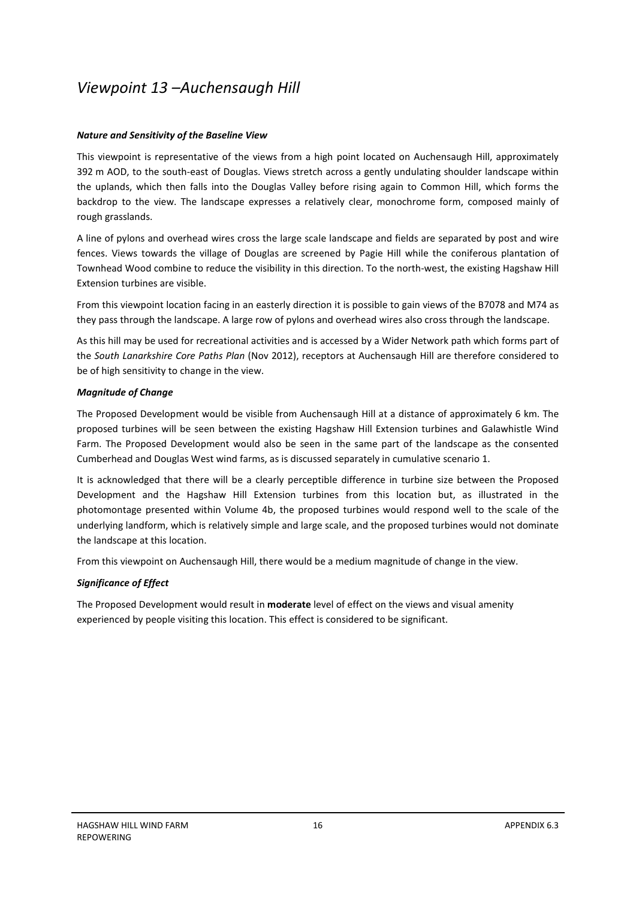### <span id="page-17-0"></span>*Viewpoint 13 –Auchensaugh Hill*

### *Nature and Sensitivity of the Baseline View*

This viewpoint is representative of the views from a high point located on Auchensaugh Hill, approximately 392 m AOD, to the south-east of Douglas. Views stretch across a gently undulating shoulder landscape within the uplands, which then falls into the Douglas Valley before rising again to Common Hill, which forms the backdrop to the view. The landscape expresses a relatively clear, monochrome form, composed mainly of rough grasslands.

A line of pylons and overhead wires cross the large scale landscape and fields are separated by post and wire fences. Views towards the village of Douglas are screened by Pagie Hill while the coniferous plantation of Townhead Wood combine to reduce the visibility in this direction. To the north-west, the existing Hagshaw Hill Extension turbines are visible.

From this viewpoint location facing in an easterly direction it is possible to gain views of the B7078 and M74 as they pass through the landscape. A large row of pylons and overhead wires also cross through the landscape.

As this hill may be used for recreational activities and is accessed by a Wider Network path which forms part of the *South Lanarkshire Core Paths Plan* (Nov 2012), receptors at Auchensaugh Hill are therefore considered to be of high sensitivity to change in the view.

### *Magnitude of Change*

The Proposed Development would be visible from Auchensaugh Hill at a distance of approximately 6 km. The proposed turbines will be seen between the existing Hagshaw Hill Extension turbines and Galawhistle Wind Farm. The Proposed Development would also be seen in the same part of the landscape as the consented Cumberhead and Douglas West wind farms, as is discussed separately in cumulative scenario 1.

It is acknowledged that there will be a clearly perceptible difference in turbine size between the Proposed Development and the Hagshaw Hill Extension turbines from this location but, as illustrated in the photomontage presented within Volume 4b, the proposed turbines would respond well to the scale of the underlying landform, which is relatively simple and large scale, and the proposed turbines would not dominate the landscape at this location.

From this viewpoint on Auchensaugh Hill, there would be a medium magnitude of change in the view.

### *Significance of Effect*

The Proposed Development would result in **moderate** level of effect on the views and visual amenity experienced by people visiting this location. This effect is considered to be significant.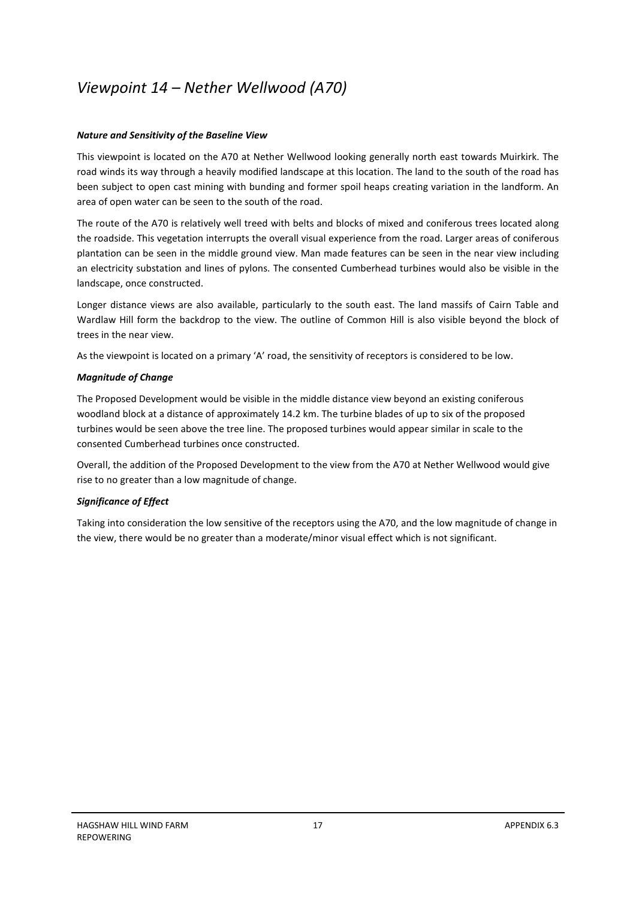# <span id="page-18-0"></span>*Viewpoint 14 – Nether Wellwood (A70)*

### *Nature and Sensitivity of the Baseline View*

This viewpoint is located on the A70 at Nether Wellwood looking generally north east towards Muirkirk. The road winds its way through a heavily modified landscape at this location. The land to the south of the road has been subject to open cast mining with bunding and former spoil heaps creating variation in the landform. An area of open water can be seen to the south of the road.

The route of the A70 is relatively well treed with belts and blocks of mixed and coniferous trees located along the roadside. This vegetation interrupts the overall visual experience from the road. Larger areas of coniferous plantation can be seen in the middle ground view. Man made features can be seen in the near view including an electricity substation and lines of pylons. The consented Cumberhead turbines would also be visible in the landscape, once constructed.

Longer distance views are also available, particularly to the south east. The land massifs of Cairn Table and Wardlaw Hill form the backdrop to the view. The outline of Common Hill is also visible beyond the block of trees in the near view.

As the viewpoint is located on a primary 'A' road, the sensitivity of receptors is considered to be low.

### *Magnitude of Change*

The Proposed Development would be visible in the middle distance view beyond an existing coniferous woodland block at a distance of approximately 14.2 km. The turbine blades of up to six of the proposed turbines would be seen above the tree line. The proposed turbines would appear similar in scale to the consented Cumberhead turbines once constructed.

Overall, the addition of the Proposed Development to the view from the A70 at Nether Wellwood would give rise to no greater than a low magnitude of change.

### *Significance of Effect*

Taking into consideration the low sensitive of the receptors using the A70, and the low magnitude of change in the view, there would be no greater than a moderate/minor visual effect which is not significant.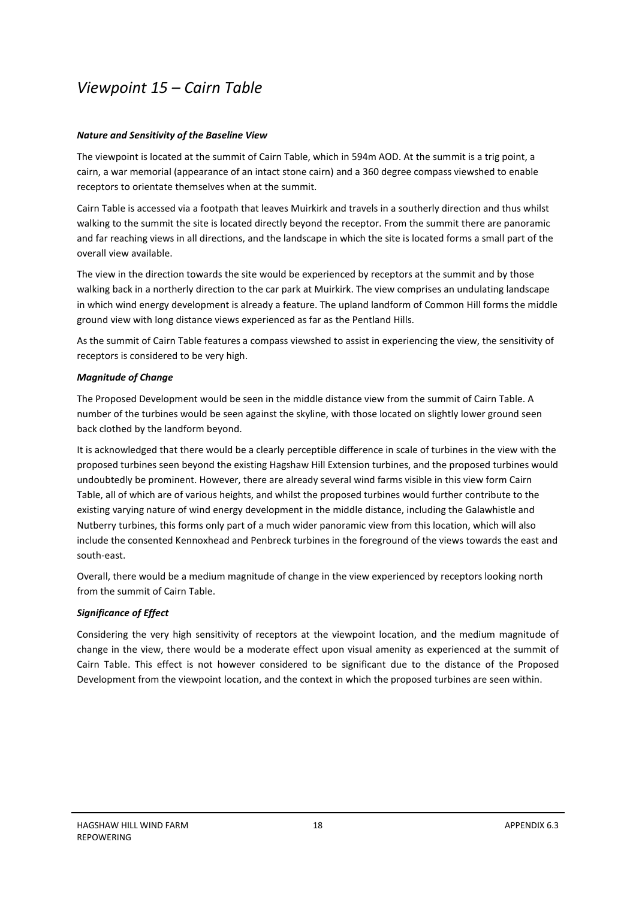### <span id="page-19-0"></span>*Viewpoint 15 – Cairn Table*

### *Nature and Sensitivity of the Baseline View*

The viewpoint is located at the summit of Cairn Table, which in 594m AOD. At the summit is a trig point, a cairn, a war memorial (appearance of an intact stone cairn) and a 360 degree compass viewshed to enable receptors to orientate themselves when at the summit.

Cairn Table is accessed via a footpath that leaves Muirkirk and travels in a southerly direction and thus whilst walking to the summit the site is located directly beyond the receptor. From the summit there are panoramic and far reaching views in all directions, and the landscape in which the site is located forms a small part of the overall view available.

The view in the direction towards the site would be experienced by receptors at the summit and by those walking back in a northerly direction to the car park at Muirkirk. The view comprises an undulating landscape in which wind energy development is already a feature. The upland landform of Common Hill forms the middle ground view with long distance views experienced as far as the Pentland Hills.

As the summit of Cairn Table features a compass viewshed to assist in experiencing the view, the sensitivity of receptors is considered to be very high.

### *Magnitude of Change*

The Proposed Development would be seen in the middle distance view from the summit of Cairn Table. A number of the turbines would be seen against the skyline, with those located on slightly lower ground seen back clothed by the landform beyond.

It is acknowledged that there would be a clearly perceptible difference in scale of turbines in the view with the proposed turbines seen beyond the existing Hagshaw Hill Extension turbines, and the proposed turbines would undoubtedly be prominent. However, there are already several wind farms visible in this view form Cairn Table, all of which are of various heights, and whilst the proposed turbines would further contribute to the existing varying nature of wind energy development in the middle distance, including the Galawhistle and Nutberry turbines, this forms only part of a much wider panoramic view from this location, which will also include the consented Kennoxhead and Penbreck turbines in the foreground of the views towards the east and south-east.

Overall, there would be a medium magnitude of change in the view experienced by receptors looking north from the summit of Cairn Table.

### *Significance of Effect*

Considering the very high sensitivity of receptors at the viewpoint location, and the medium magnitude of change in the view, there would be a moderate effect upon visual amenity as experienced at the summit of Cairn Table. This effect is not however considered to be significant due to the distance of the Proposed Development from the viewpoint location, and the context in which the proposed turbines are seen within.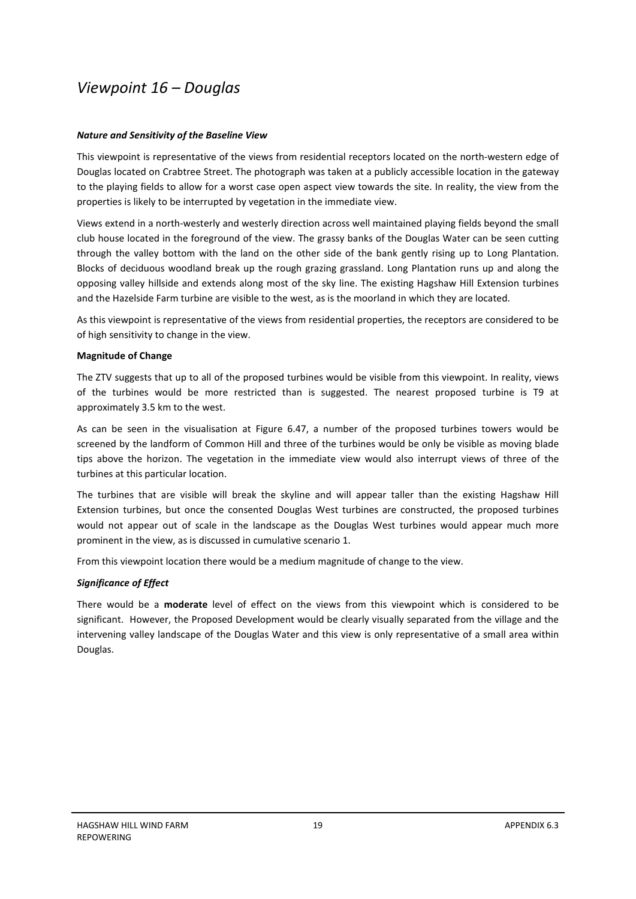### <span id="page-20-0"></span>*Viewpoint 16 – Douglas*

### *Nature and Sensitivity of the Baseline View*

This viewpoint is representative of the views from residential receptors located on the north-western edge of Douglas located on Crabtree Street. The photograph was taken at a publicly accessible location in the gateway to the playing fields to allow for a worst case open aspect view towards the site. In reality, the view from the properties is likely to be interrupted by vegetation in the immediate view.

Views extend in a north-westerly and westerly direction across well maintained playing fields beyond the small club house located in the foreground of the view. The grassy banks of the Douglas Water can be seen cutting through the valley bottom with the land on the other side of the bank gently rising up to Long Plantation. Blocks of deciduous woodland break up the rough grazing grassland. Long Plantation runs up and along the opposing valley hillside and extends along most of the sky line. The existing Hagshaw Hill Extension turbines and the Hazelside Farm turbine are visible to the west, as is the moorland in which they are located.

As this viewpoint is representative of the views from residential properties, the receptors are considered to be of high sensitivity to change in the view.

#### **Magnitude of Change**

The ZTV suggests that up to all of the proposed turbines would be visible from this viewpoint. In reality, views of the turbines would be more restricted than is suggested. The nearest proposed turbine is T9 at approximately 3.5 km to the west.

As can be seen in the visualisation at Figure 6.47, a number of the proposed turbines towers would be screened by the landform of Common Hill and three of the turbines would be only be visible as moving blade tips above the horizon. The vegetation in the immediate view would also interrupt views of three of the turbines at this particular location.

The turbines that are visible will break the skyline and will appear taller than the existing Hagshaw Hill Extension turbines, but once the consented Douglas West turbines are constructed, the proposed turbines would not appear out of scale in the landscape as the Douglas West turbines would appear much more prominent in the view, as is discussed in cumulative scenario 1.

From this viewpoint location there would be a medium magnitude of change to the view.

### *Significance of Effect*

There would be a **moderate** level of effect on the views from this viewpoint which is considered to be significant. However, the Proposed Development would be clearly visually separated from the village and the intervening valley landscape of the Douglas Water and this view is only representative of a small area within Douglas.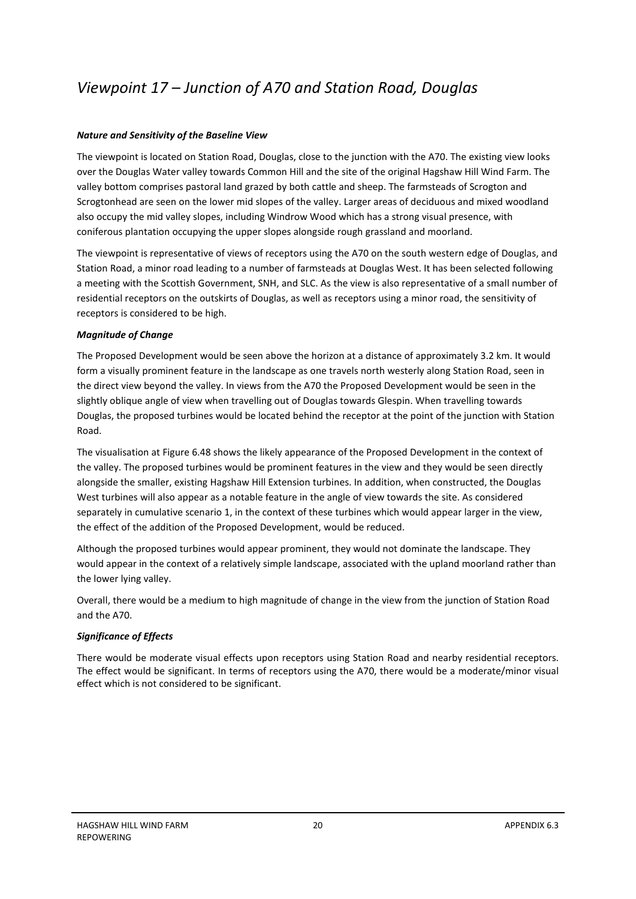# <span id="page-21-0"></span>*Viewpoint 17 – Junction of A70 and Station Road, Douglas*

### *Nature and Sensitivity of the Baseline View*

The viewpoint is located on Station Road, Douglas, close to the junction with the A70. The existing view looks over the Douglas Water valley towards Common Hill and the site of the original Hagshaw Hill Wind Farm. The valley bottom comprises pastoral land grazed by both cattle and sheep. The farmsteads of Scrogton and Scrogtonhead are seen on the lower mid slopes of the valley. Larger areas of deciduous and mixed woodland also occupy the mid valley slopes, including Windrow Wood which has a strong visual presence, with coniferous plantation occupying the upper slopes alongside rough grassland and moorland.

The viewpoint is representative of views of receptors using the A70 on the south western edge of Douglas, and Station Road, a minor road leading to a number of farmsteads at Douglas West. It has been selected following a meeting with the Scottish Government, SNH, and SLC. As the view is also representative of a small number of residential receptors on the outskirts of Douglas, as well as receptors using a minor road, the sensitivity of receptors is considered to be high.

### *Magnitude of Change*

The Proposed Development would be seen above the horizon at a distance of approximately 3.2 km. It would form a visually prominent feature in the landscape as one travels north westerly along Station Road, seen in the direct view beyond the valley. In views from the A70 the Proposed Development would be seen in the slightly oblique angle of view when travelling out of Douglas towards Glespin. When travelling towards Douglas, the proposed turbines would be located behind the receptor at the point of the junction with Station Road.

The visualisation at Figure 6.48 shows the likely appearance of the Proposed Development in the context of the valley. The proposed turbines would be prominent features in the view and they would be seen directly alongside the smaller, existing Hagshaw Hill Extension turbines. In addition, when constructed, the Douglas West turbines will also appear as a notable feature in the angle of view towards the site. As considered separately in cumulative scenario 1, in the context of these turbines which would appear larger in the view, the effect of the addition of the Proposed Development, would be reduced.

Although the proposed turbines would appear prominent, they would not dominate the landscape. They would appear in the context of a relatively simple landscape, associated with the upland moorland rather than the lower lying valley.

Overall, there would be a medium to high magnitude of change in the view from the junction of Station Road and the A70.

### *Significance of Effects*

There would be moderate visual effects upon receptors using Station Road and nearby residential receptors. The effect would be significant. In terms of receptors using the A70, there would be a moderate/minor visual effect which is not considered to be significant.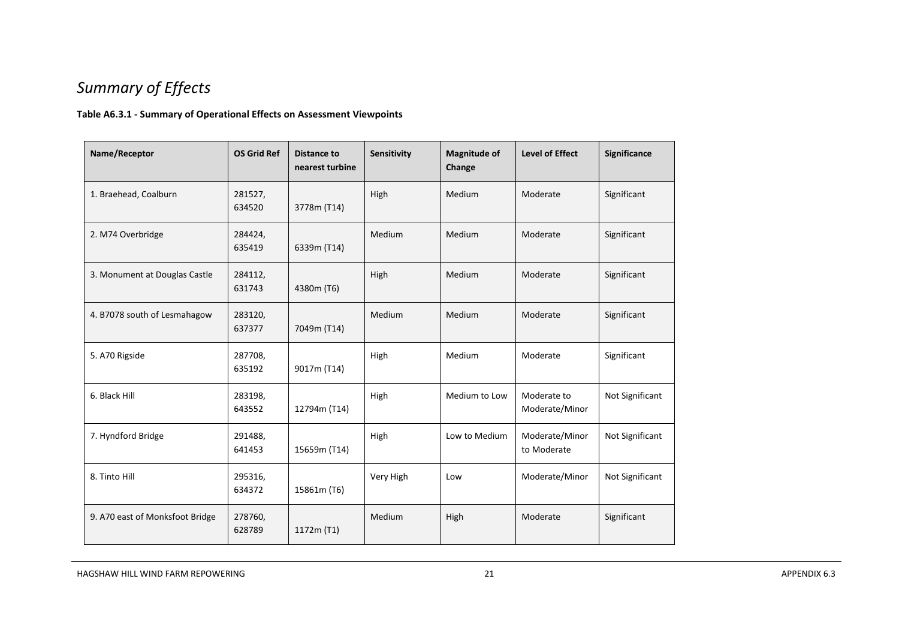# *Summary of Effects*

### **Table A6.3.1 - Summary of Operational Effects on Assessment Viewpoints**

<span id="page-22-0"></span>

| Name/Receptor                   | <b>OS Grid Ref</b> | <b>Distance to</b><br>nearest turbine | Sensitivity | <b>Magnitude of</b><br>Change | <b>Level of Effect</b>        | Significance    |
|---------------------------------|--------------------|---------------------------------------|-------------|-------------------------------|-------------------------------|-----------------|
| 1. Braehead, Coalburn           | 281527,<br>634520  | 3778m (T14)                           | High        | Medium                        | Moderate                      | Significant     |
| 2. M74 Overbridge               | 284424,<br>635419  | 6339m (T14)                           | Medium      | <b>Medium</b>                 | Moderate                      | Significant     |
| 3. Monument at Douglas Castle   | 284112,<br>631743  | 4380m (T6)                            | High        | Medium                        | Moderate                      | Significant     |
| 4. B7078 south of Lesmahagow    | 283120,<br>637377  | 7049m (T14)                           | Medium      | Medium                        | Moderate                      | Significant     |
| 5. A70 Rigside                  | 287708,<br>635192  | 9017m (T14)                           | High        | Medium                        | Moderate                      | Significant     |
| 6. Black Hill                   | 283198,<br>643552  | 12794m (T14)                          | High        | Medium to Low                 | Moderate to<br>Moderate/Minor | Not Significant |
| 7. Hyndford Bridge              | 291488,<br>641453  | 15659m (T14)                          | High        | Low to Medium                 | Moderate/Minor<br>to Moderate | Not Significant |
| 8. Tinto Hill                   | 295316,<br>634372  | 15861m (T6)                           | Very High   | Low                           | Moderate/Minor                | Not Significant |
| 9. A70 east of Monksfoot Bridge | 278760,<br>628789  | 1172m (T1)                            | Medium      | High                          | Moderate                      | Significant     |